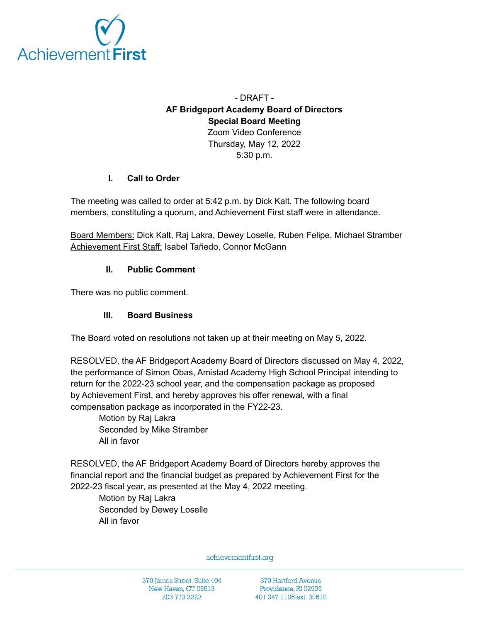

# - DRAFT - **AF Bridgeport Academy Board of Directors Special Board Meeting** Zoom Video Conference Thursday, May 12, 2022 5:30 p.m.

#### **I. Call to Order**

The meeting was called to order at 5:42 p.m. by Dick Kalt. The following board members, constituting a quorum, and Achievement First staff were in attendance.

Board Members: Dick Kalt, Raj Lakra, Dewey Loselle, Ruben Felipe, Michael Stramber Achievement First Staff: Isabel Tañedo, Connor McGann

#### **II. Public Comment**

There was no public comment.

### **III. Board Business**

The Board voted on resolutions not taken up at their meeting on May 5, 2022.

RESOLVED, the AF Bridgeport Academy Board of Directors discussed on May 4, 2022, the performance of Simon Obas, Amistad Academy High School Principal intending to return for the 2022-23 school year, and the compensation package as proposed by Achievement First, and hereby approves his offer renewal, with a final compensation package as incorporated in the FY22-23.

Motion by Raj Lakra Seconded by Mike Stramber All in favor

RESOLVED, the AF Bridgeport Academy Board of Directors hereby approves the financial report and the financial budget as prepared by Achievement First for the 2022-23 fiscal year, as presented at the May 4, 2022 meeting.

Motion by Raj Lakra Seconded by Dewey Loselle All in favor

achievementfirst.org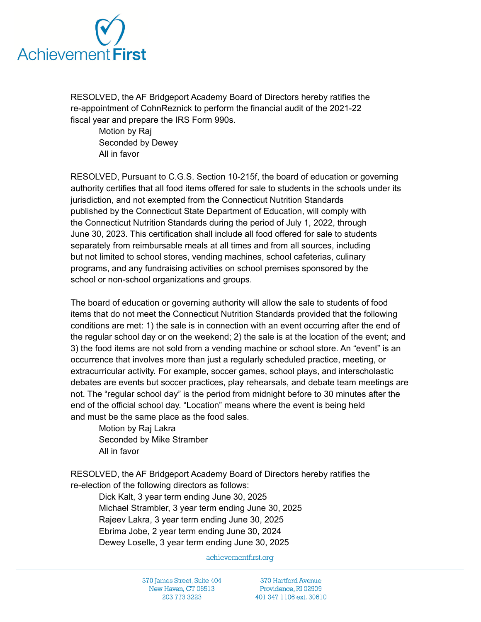

RESOLVED, the AF Bridgeport Academy Board of Directors hereby ratifies the re-appointment of CohnReznick to perform the financial audit of the 2021-22 fiscal year and prepare the IRS Form 990s.

Motion by Raj Seconded by Dewey All in favor

RESOLVED, Pursuant to C.G.S. Section 10-215f, the board of education or governing authority certifies that all food items offered for sale to students in the schools under its jurisdiction, and not exempted from the Connecticut Nutrition Standards published by the Connecticut State Department of Education, will comply with the Connecticut Nutrition Standards during the period of July 1, 2022, through June 30, 2023. This certification shall include all food offered for sale to students separately from reimbursable meals at all times and from all sources, including but not limited to school stores, vending machines, school cafeterias, culinary programs, and any fundraising activities on school premises sponsored by the school or non-school organizations and groups.

The board of education or governing authority will allow the sale to students of food items that do not meet the Connecticut Nutrition Standards provided that the following conditions are met: 1) the sale is in connection with an event occurring after the end of the regular school day or on the weekend; 2) the sale is at the location of the event; and 3) the food items are not sold from a vending machine or school store. An "event" is an occurrence that involves more than just a regularly scheduled practice, meeting, or extracurricular activity. For example, soccer games, school plays, and interscholastic debates are events but soccer practices, play rehearsals, and debate team meetings are not. The "regular school day" is the period from midnight before to 30 minutes after the end of the official school day. "Location" means where the event is being held and must be the same place as the food sales.

Motion by Raj Lakra Seconded by Mike Stramber All in favor

RESOLVED, the AF Bridgeport Academy Board of Directors hereby ratifies the re-election of the following directors as follows:

Dick Kalt, 3 year term ending June 30, 2025 Michael Strambler, 3 year term ending June 30, 2025 Rajeev Lakra, 3 year term ending June 30, 2025 Ebrima Jobe, 2 year term ending June 30, 2024 Dewey Loselle, 3 year term ending June 30, 2025

achievementfirst.org

370 James Street, Suite 404 New Haven, CT 06513 203 773 3223

370 Hartford Avenue Providence, RI 02909 401 347 1106 ext. 30610